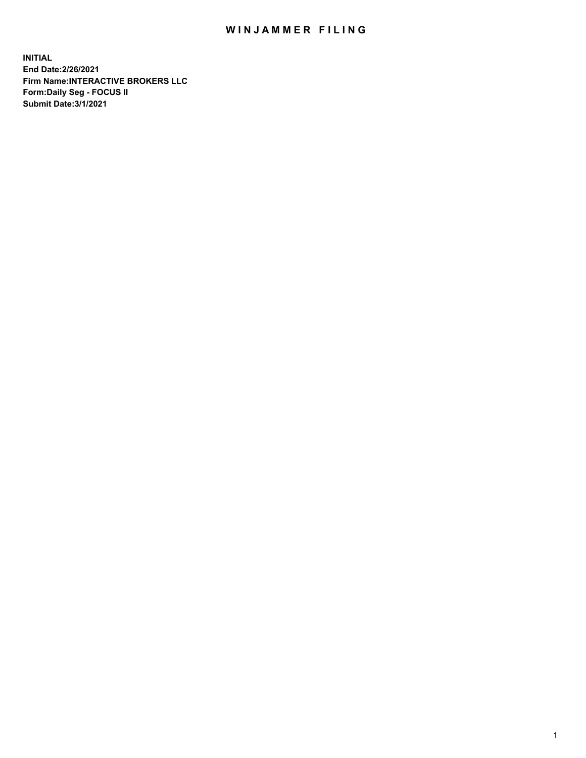## WIN JAMMER FILING

**INITIAL End Date:2/26/2021 Firm Name:INTERACTIVE BROKERS LLC Form:Daily Seg - FOCUS II Submit Date:3/1/2021**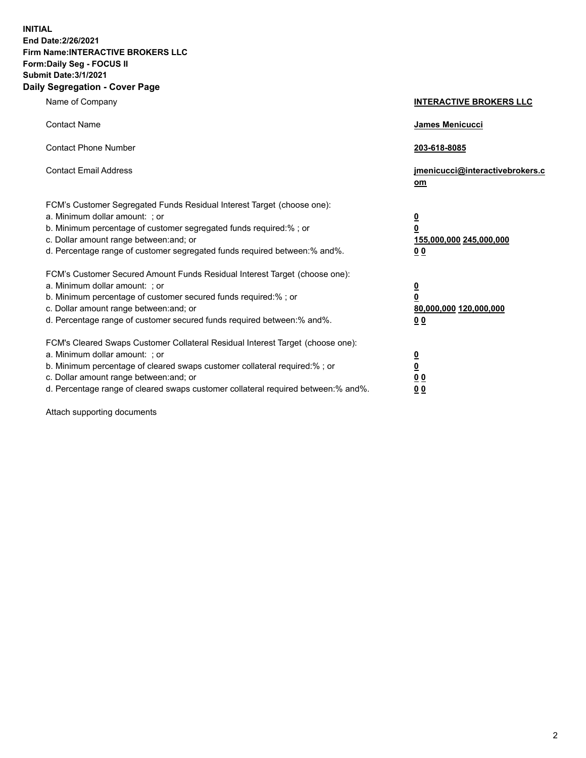**INITIAL End Date:2/26/2021 Firm Name:INTERACTIVE BROKERS LLC Form:Daily Seg - FOCUS II Submit Date:3/1/2021 Daily Segregation - Cover Page**

| Name of Company                                                                                                                                                                                                                                                                                                                | <b>INTERACTIVE BROKERS LLC</b>                                                                  |
|--------------------------------------------------------------------------------------------------------------------------------------------------------------------------------------------------------------------------------------------------------------------------------------------------------------------------------|-------------------------------------------------------------------------------------------------|
| <b>Contact Name</b>                                                                                                                                                                                                                                                                                                            | <b>James Menicucci</b>                                                                          |
| <b>Contact Phone Number</b>                                                                                                                                                                                                                                                                                                    | 203-618-8085                                                                                    |
| <b>Contact Email Address</b>                                                                                                                                                                                                                                                                                                   | jmenicucci@interactivebrokers.c<br>om                                                           |
| FCM's Customer Segregated Funds Residual Interest Target (choose one):<br>a. Minimum dollar amount: ; or<br>b. Minimum percentage of customer segregated funds required:%; or<br>c. Dollar amount range between: and; or<br>d. Percentage range of customer segregated funds required between:% and%.                          | $\overline{\mathbf{0}}$<br>$\overline{\mathbf{0}}$<br>155,000,000 245,000,000<br>0 <sub>0</sub> |
| FCM's Customer Secured Amount Funds Residual Interest Target (choose one):<br>a. Minimum dollar amount: ; or<br>b. Minimum percentage of customer secured funds required:%; or<br>c. Dollar amount range between: and; or<br>d. Percentage range of customer secured funds required between:% and%.                            | $\overline{\mathbf{0}}$<br>$\overline{\mathbf{0}}$<br>80,000,000 120,000,000<br>0 <sub>0</sub>  |
| FCM's Cleared Swaps Customer Collateral Residual Interest Target (choose one):<br>a. Minimum dollar amount: ; or<br>b. Minimum percentage of cleared swaps customer collateral required:% ; or<br>c. Dollar amount range between: and; or<br>d. Percentage range of cleared swaps customer collateral required between:% and%. | $\overline{\mathbf{0}}$<br>$\overline{\mathbf{0}}$<br>0 <sub>0</sub><br>0 <sub>0</sub>          |

Attach supporting documents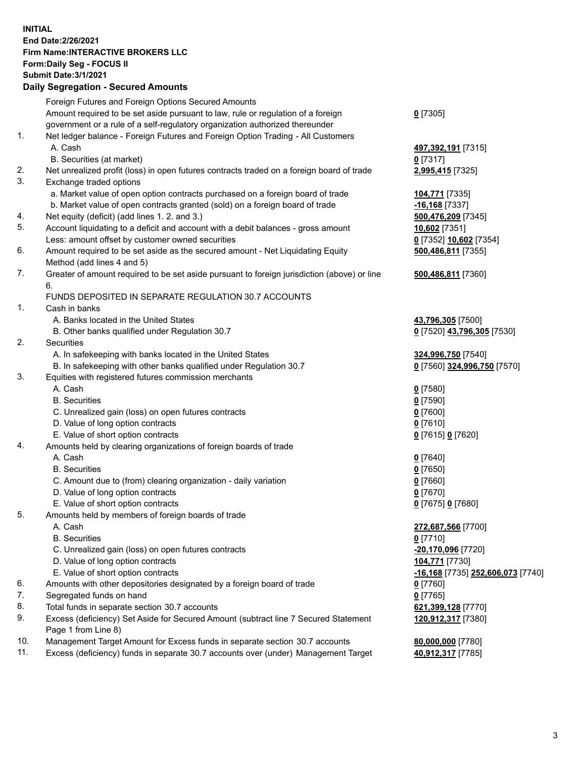**INITIAL End Date:2/26/2021 Firm Name:INTERACTIVE BROKERS LLC Form:Daily Seg - FOCUS II Submit Date:3/1/2021 Daily Segregation - Secured Amounts**

|     | Foreign Futures and Foreign Options Secured Amounts                                         |                                   |
|-----|---------------------------------------------------------------------------------------------|-----------------------------------|
|     | Amount required to be set aside pursuant to law, rule or regulation of a foreign            | $0$ [7305]                        |
|     | government or a rule of a self-regulatory organization authorized thereunder                |                                   |
| 1.  | Net ledger balance - Foreign Futures and Foreign Option Trading - All Customers             |                                   |
|     | A. Cash                                                                                     | 497,392,191 [7315]                |
|     | B. Securities (at market)                                                                   | $0$ [7317]                        |
| 2.  | Net unrealized profit (loss) in open futures contracts traded on a foreign board of trade   | 2,995,415 [7325]                  |
| 3.  | Exchange traded options                                                                     |                                   |
|     | a. Market value of open option contracts purchased on a foreign board of trade              | 104,771 [7335]                    |
|     | b. Market value of open contracts granted (sold) on a foreign board of trade                | $-16,168$ [7337]                  |
| 4.  | Net equity (deficit) (add lines 1. 2. and 3.)                                               | 500,476,209 [7345]                |
| 5.  | Account liquidating to a deficit and account with a debit balances - gross amount           | 10,602 [7351]                     |
|     | Less: amount offset by customer owned securities                                            | 0 [7352] 10,602 [7354]            |
| 6.  | Amount required to be set aside as the secured amount - Net Liquidating Equity              | 500,486,811 [7355]                |
|     | Method (add lines 4 and 5)                                                                  |                                   |
| 7.  | Greater of amount required to be set aside pursuant to foreign jurisdiction (above) or line | 500,486,811 [7360]                |
|     | 6.                                                                                          |                                   |
|     | FUNDS DEPOSITED IN SEPARATE REGULATION 30.7 ACCOUNTS                                        |                                   |
| 1.  | Cash in banks                                                                               |                                   |
|     | A. Banks located in the United States                                                       | 43,796,305 [7500]                 |
|     | B. Other banks qualified under Regulation 30.7                                              | 0 [7520] 43,796,305 [7530]        |
| 2.  | <b>Securities</b>                                                                           |                                   |
|     | A. In safekeeping with banks located in the United States                                   | 324,996,750 [7540]                |
|     | B. In safekeeping with other banks qualified under Regulation 30.7                          | 0 [7560] 324,996,750 [7570]       |
| 3.  | Equities with registered futures commission merchants                                       |                                   |
|     | A. Cash                                                                                     | $0$ [7580]                        |
|     | <b>B.</b> Securities                                                                        | $0$ [7590]                        |
|     | C. Unrealized gain (loss) on open futures contracts                                         | $0$ [7600]                        |
|     | D. Value of long option contracts                                                           | $0$ [7610]                        |
|     | E. Value of short option contracts                                                          | 0 [7615] 0 [7620]                 |
| 4.  | Amounts held by clearing organizations of foreign boards of trade                           |                                   |
|     | A. Cash                                                                                     | $0$ [7640]                        |
|     | <b>B.</b> Securities                                                                        | $0$ [7650]                        |
|     | C. Amount due to (from) clearing organization - daily variation                             | $0$ [7660]                        |
|     | D. Value of long option contracts                                                           | $0$ [7670]                        |
|     | E. Value of short option contracts                                                          | 0 [7675] 0 [7680]                 |
| 5.  | Amounts held by members of foreign boards of trade                                          |                                   |
|     | A. Cash                                                                                     | 272,687,566 [7700]                |
|     | <b>B.</b> Securities                                                                        | $0$ [7710]                        |
|     | C. Unrealized gain (loss) on open futures contracts                                         | -20,170,096 [7720]                |
|     | D. Value of long option contracts                                                           | 104,771 [7730]                    |
|     | E. Value of short option contracts                                                          | -16,168 [7735] 252,606,073 [7740] |
| 6.  | Amounts with other depositories designated by a foreign board of trade                      | $0$ [7760]                        |
| 7.  | Segregated funds on hand                                                                    | $0$ [7765]                        |
| 8.  | Total funds in separate section 30.7 accounts                                               | 621,399,128 [7770]                |
| 9.  | Excess (deficiency) Set Aside for Secured Amount (subtract line 7 Secured Statement         | 120,912,317 [7380]                |
|     | Page 1 from Line 8)                                                                         |                                   |
| 10. | Management Target Amount for Excess funds in separate section 30.7 accounts                 | 80,000,000 [7780]                 |
| 11. | Excess (deficiency) funds in separate 30.7 accounts over (under) Management Target          | 40,912,317 [7785]                 |
|     |                                                                                             |                                   |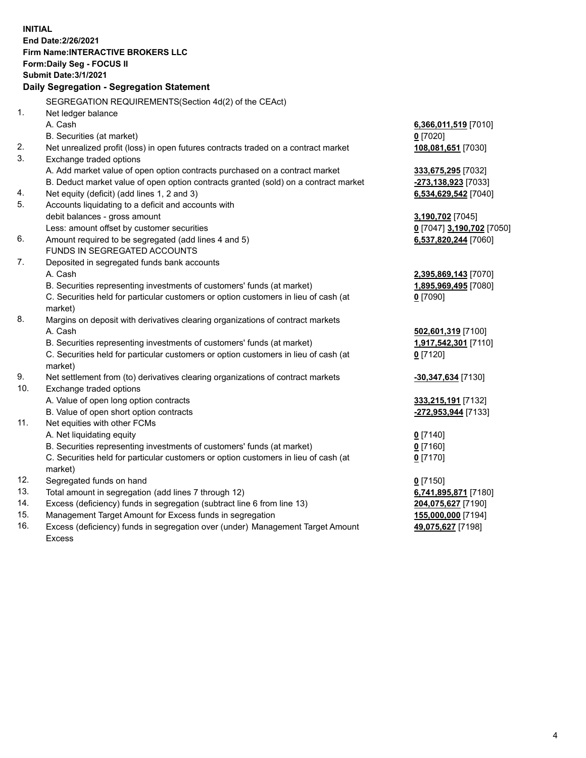**INITIAL End Date:2/26/2021 Firm Name:INTERACTIVE BROKERS LLC Form:Daily Seg - FOCUS II Submit Date:3/1/2021 Daily Segregation - Segregation Statement** SEGREGATION REQUIREMENTS(Section 4d(2) of the CEAct) 1. Net ledger balance A. Cash **6,366,011,519** [7010] B. Securities (at market) **0** [7020] 2. Net unrealized profit (loss) in open futures contracts traded on a contract market **108,081,651** [7030] 3. Exchange traded options A. Add market value of open option contracts purchased on a contract market **333,675,295** [7032] B. Deduct market value of open option contracts granted (sold) on a contract market **-273,138,923** [7033] 4. Net equity (deficit) (add lines 1, 2 and 3) **6,534,629,542** [7040] 5. Accounts liquidating to a deficit and accounts with debit balances - gross amount **3,190,702** [7045] Less: amount offset by customer securities **0** [7047] **3,190,702** [7050] 6. Amount required to be segregated (add lines 4 and 5) **6,537,820,244** [7060] FUNDS IN SEGREGATED ACCOUNTS 7. Deposited in segregated funds bank accounts A. Cash **2,395,869,143** [7070] B. Securities representing investments of customers' funds (at market) **1,895,969,495** [7080] C. Securities held for particular customers or option customers in lieu of cash (at market) **0** [7090] 8. Margins on deposit with derivatives clearing organizations of contract markets A. Cash **502,601,319** [7100] B. Securities representing investments of customers' funds (at market) **1,917,542,301** [7110] C. Securities held for particular customers or option customers in lieu of cash (at market) **0** [7120] 9. Net settlement from (to) derivatives clearing organizations of contract markets **-30,347,634** [7130] 10. Exchange traded options A. Value of open long option contracts **333,215,191** [7132] B. Value of open short option contracts **-272,953,944** [7133] 11. Net equities with other FCMs A. Net liquidating equity **0** [7140] B. Securities representing investments of customers' funds (at market) **0** [7160] C. Securities held for particular customers or option customers in lieu of cash (at market) **0** [7170] 12. Segregated funds on hand **0** [7150] 13. Total amount in segregation (add lines 7 through 12) **6,741,895,871** [7180] 14. Excess (deficiency) funds in segregation (subtract line 6 from line 13) **204,075,627** [7190] 15. Management Target Amount for Excess funds in segregation **155,000,000** [7194] 16. Excess (deficiency) funds in segregation over (under) Management Target Amount **49,075,627** [7198]

Excess